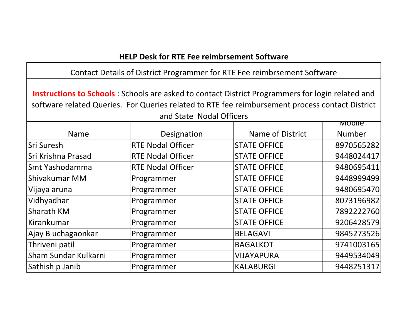## **HELP Desk for RTE Fee reimbrsement Software**

**Instructions to Schools** : Schools are asked to contact District Programmers for login related and software related Queries. For Queries related to RTE fee reimbursement process contact District and State Nodal Officers

|                      |                          |                     | <b>TVIODITE</b> |
|----------------------|--------------------------|---------------------|-----------------|
| <b>Name</b>          | Designation              | Name of District    | Number          |
| <b>Sri Suresh</b>    | <b>RTE Nodal Officer</b> | <b>STATE OFFICE</b> | 8970565282      |
| Sri Krishna Prasad   | <b>RTE Nodal Officer</b> | <b>STATE OFFICE</b> | 9448024417      |
| Smt Yashodamma       | <b>RTE Nodal Officer</b> | <b>STATE OFFICE</b> | 9480695411      |
| Shivakumar MM        | Programmer               | <b>STATE OFFICE</b> | 9448999499      |
| Vijaya aruna         | Programmer               | <b>STATE OFFICE</b> | 9480695470      |
| Vidhyadhar           | Programmer               | <b>STATE OFFICE</b> | 8073196982      |
| Sharath KM           | Programmer               | <b>STATE OFFICE</b> | 7892222760      |
| Kirankumar           | Programmer               | <b>STATE OFFICE</b> | 9206428579      |
| Ajay B uchagaonkar   | Programmer               | <b>BELAGAVI</b>     | 9845273526      |
| Thriveni patil       | Programmer               | <b>BAGALKOT</b>     | 9741003165      |
| Sham Sundar Kulkarni | Programmer               | <b>VIJAYAPURA</b>   | 9449534049      |
| Sathish p Janib      | Programmer               | <b>KALABURGI</b>    | 9448251317      |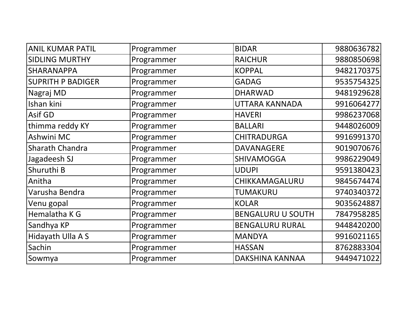| <b>ANIL KUMAR PATIL</b>  | Programmer | <b>BIDAR</b>             | 9880636782 |
|--------------------------|------------|--------------------------|------------|
| <b>SIDLING MURTHY</b>    | Programmer | <b>RAICHUR</b>           | 9880850698 |
| SHARANAPPA               | Programmer | <b>KOPPAL</b>            | 9482170375 |
| <b>SUPRITH P BADIGER</b> | Programmer | <b>GADAG</b>             | 9535754325 |
| Nagraj MD                | Programmer | <b>DHARWAD</b>           | 9481929628 |
| Ishan kini               | Programmer | UTTARA KANNADA           | 9916064277 |
| <b>Asif GD</b>           | Programmer | <b>HAVERI</b>            | 9986237068 |
| thimma reddy KY          | Programmer | <b>BALLARI</b>           | 9448026009 |
| Ashwini MC               | Programmer | <b>CHITRADURGA</b>       | 9916991370 |
| Sharath Chandra          | Programmer | <b>DAVANAGERE</b>        | 9019070676 |
| Jagadeesh SJ             | Programmer | <b>SHIVAMOGGA</b>        | 9986229049 |
| Shuruthi B               | Programmer | <b>UDUPI</b>             | 9591380423 |
| Anitha                   | Programmer | CHIKKAMAGALURU           | 9845674474 |
| Varusha Bendra           | Programmer | <b>TUMAKURU</b>          | 9740340372 |
| Venu gopal               | Programmer | <b>KOLAR</b>             | 9035624887 |
| Hemalatha K G            | Programmer | <b>BENGALURU U SOUTH</b> | 7847958285 |
| Sandhya KP               | Programmer | <b>BENGALURU RURAL</b>   | 9448420200 |
| Hidayath Ulla A S        | Programmer | <b>MANDYA</b>            | 9916021165 |
| Sachin                   | Programmer | <b>HASSAN</b>            | 8762883304 |
| Sowmya                   | Programmer | DAKSHINA KANNAA          | 9449471022 |
|                          |            |                          |            |